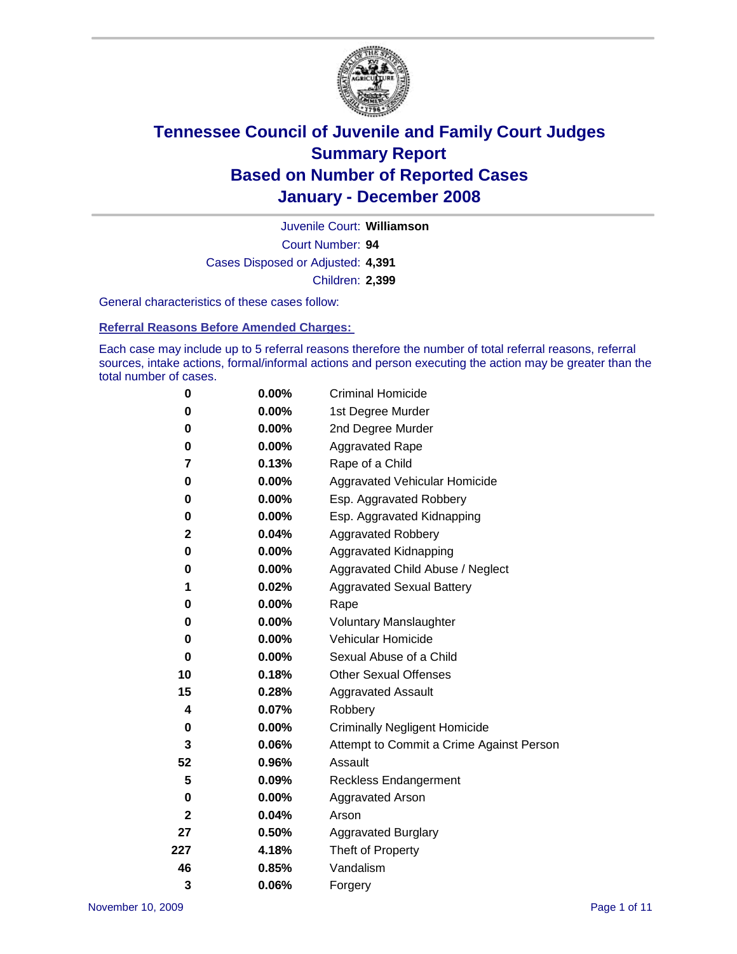

Court Number: **94** Juvenile Court: **Williamson** Cases Disposed or Adjusted: **4,391** Children: **2,399**

General characteristics of these cases follow:

**Referral Reasons Before Amended Charges:** 

Each case may include up to 5 referral reasons therefore the number of total referral reasons, referral sources, intake actions, formal/informal actions and person executing the action may be greater than the total number of cases.

| 0            | $0.00\%$ | <b>Criminal Homicide</b>                 |
|--------------|----------|------------------------------------------|
| 0            | 0.00%    | 1st Degree Murder                        |
| 0            | $0.00\%$ | 2nd Degree Murder                        |
| 0            | 0.00%    | <b>Aggravated Rape</b>                   |
| 7            | 0.13%    | Rape of a Child                          |
| 0            | 0.00%    | Aggravated Vehicular Homicide            |
| 0            | 0.00%    | Esp. Aggravated Robbery                  |
| 0            | $0.00\%$ | Esp. Aggravated Kidnapping               |
| $\mathbf 2$  | 0.04%    | <b>Aggravated Robbery</b>                |
| 0            | $0.00\%$ | Aggravated Kidnapping                    |
| 0            | 0.00%    | Aggravated Child Abuse / Neglect         |
| 1            | 0.02%    | <b>Aggravated Sexual Battery</b>         |
| 0            | 0.00%    | Rape                                     |
| 0            | 0.00%    | <b>Voluntary Manslaughter</b>            |
| 0            | 0.00%    | Vehicular Homicide                       |
| 0            | 0.00%    | Sexual Abuse of a Child                  |
| 10           | 0.18%    | <b>Other Sexual Offenses</b>             |
| 15           | 0.28%    | <b>Aggravated Assault</b>                |
| 4            | 0.07%    | Robbery                                  |
| 0            | 0.00%    | <b>Criminally Negligent Homicide</b>     |
| 3            | 0.06%    | Attempt to Commit a Crime Against Person |
| 52           | 0.96%    | Assault                                  |
| 5            | 0.09%    | <b>Reckless Endangerment</b>             |
| 0            | 0.00%    | <b>Aggravated Arson</b>                  |
| $\mathbf{2}$ | 0.04%    | Arson                                    |
| 27           | 0.50%    | Aggravated Burglary                      |
| 227          | 4.18%    | Theft of Property                        |
| 46           | 0.85%    | Vandalism                                |
| 3            | 0.06%    | Forgery                                  |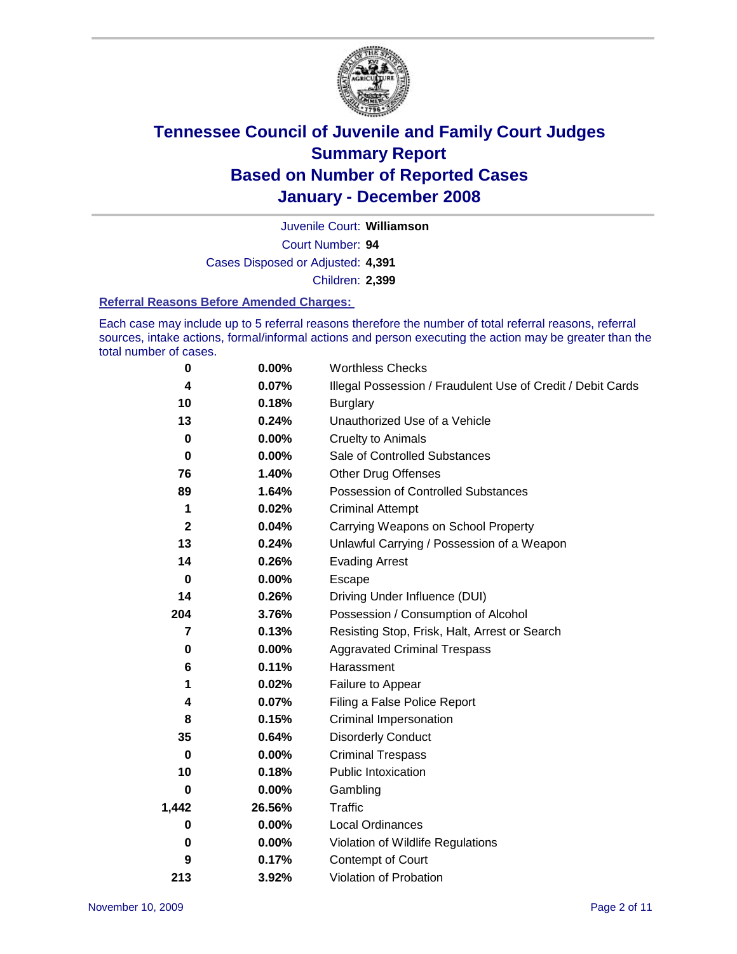

Court Number: **94** Juvenile Court: **Williamson** Cases Disposed or Adjusted: **4,391** Children: **2,399**

#### **Referral Reasons Before Amended Charges:**

Each case may include up to 5 referral reasons therefore the number of total referral reasons, referral sources, intake actions, formal/informal actions and person executing the action may be greater than the total number of cases.

| 0            | 0.00%    | <b>Worthless Checks</b>                                     |
|--------------|----------|-------------------------------------------------------------|
| 4            | 0.07%    | Illegal Possession / Fraudulent Use of Credit / Debit Cards |
| 10           | 0.18%    | <b>Burglary</b>                                             |
| 13           | 0.24%    | Unauthorized Use of a Vehicle                               |
| 0            | 0.00%    | <b>Cruelty to Animals</b>                                   |
| 0            | $0.00\%$ | Sale of Controlled Substances                               |
| 76           | 1.40%    | <b>Other Drug Offenses</b>                                  |
| 89           | 1.64%    | <b>Possession of Controlled Substances</b>                  |
| 1            | 0.02%    | <b>Criminal Attempt</b>                                     |
| $\mathbf{2}$ | 0.04%    | Carrying Weapons on School Property                         |
| 13           | 0.24%    | Unlawful Carrying / Possession of a Weapon                  |
| 14           | 0.26%    | <b>Evading Arrest</b>                                       |
| 0            | 0.00%    | Escape                                                      |
| 14           | 0.26%    | Driving Under Influence (DUI)                               |
| 204          | 3.76%    | Possession / Consumption of Alcohol                         |
| 7            | 0.13%    | Resisting Stop, Frisk, Halt, Arrest or Search               |
| 0            | 0.00%    | <b>Aggravated Criminal Trespass</b>                         |
| 6            | 0.11%    | Harassment                                                  |
| 1            | 0.02%    | Failure to Appear                                           |
| 4            | 0.07%    | Filing a False Police Report                                |
| 8            | 0.15%    | Criminal Impersonation                                      |
| 35           | 0.64%    | <b>Disorderly Conduct</b>                                   |
| 0            | 0.00%    | <b>Criminal Trespass</b>                                    |
| 10           | 0.18%    | <b>Public Intoxication</b>                                  |
| 0            | 0.00%    | Gambling                                                    |
| 1,442        | 26.56%   | Traffic                                                     |
| 0            | $0.00\%$ | Local Ordinances                                            |
| 0            | 0.00%    | Violation of Wildlife Regulations                           |
| 9            | 0.17%    | Contempt of Court                                           |
| 213          | 3.92%    | Violation of Probation                                      |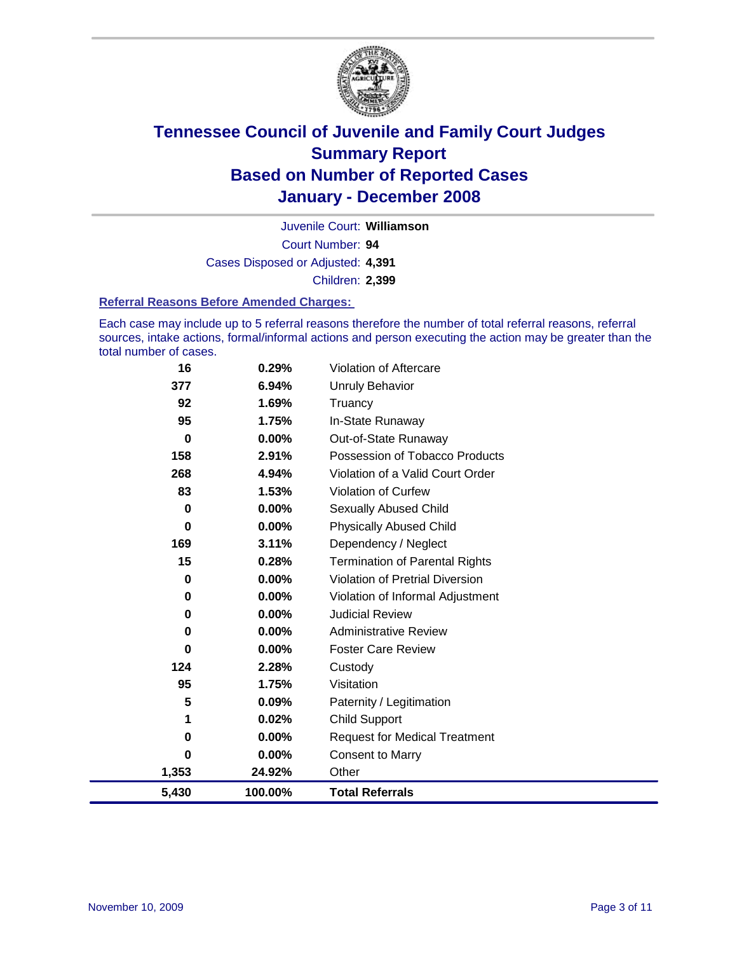

Court Number: **94** Juvenile Court: **Williamson** Cases Disposed or Adjusted: **4,391** Children: **2,399**

#### **Referral Reasons Before Amended Charges:**

Each case may include up to 5 referral reasons therefore the number of total referral reasons, referral sources, intake actions, formal/informal actions and person executing the action may be greater than the total number of cases.

| 16       | 0.29%    | Violation of Aftercare                 |
|----------|----------|----------------------------------------|
| 377      | 6.94%    | Unruly Behavior                        |
| 92       | 1.69%    | Truancy                                |
| 95       | 1.75%    | In-State Runaway                       |
| $\bf{0}$ | 0.00%    | Out-of-State Runaway                   |
| 158      | 2.91%    | Possession of Tobacco Products         |
| 268      | 4.94%    | Violation of a Valid Court Order       |
| 83       | 1.53%    | <b>Violation of Curfew</b>             |
| $\bf{0}$ | 0.00%    | Sexually Abused Child                  |
| 0        | 0.00%    | <b>Physically Abused Child</b>         |
| 169      | 3.11%    | Dependency / Neglect                   |
| 15       | 0.28%    | <b>Termination of Parental Rights</b>  |
| 0        | $0.00\%$ | <b>Violation of Pretrial Diversion</b> |
| 0        | $0.00\%$ | Violation of Informal Adjustment       |
| 0        | 0.00%    | <b>Judicial Review</b>                 |
| 0        | 0.00%    | <b>Administrative Review</b>           |
| 0        | $0.00\%$ | <b>Foster Care Review</b>              |
| 124      | 2.28%    | Custody                                |
| 95       | 1.75%    | Visitation                             |
| 5        | 0.09%    | Paternity / Legitimation               |
| 1        | 0.02%    | <b>Child Support</b>                   |
| 0        | 0.00%    | <b>Request for Medical Treatment</b>   |
| 0        | 0.00%    | <b>Consent to Marry</b>                |
| 1,353    | 24.92%   | Other                                  |
| 5,430    | 100.00%  | <b>Total Referrals</b>                 |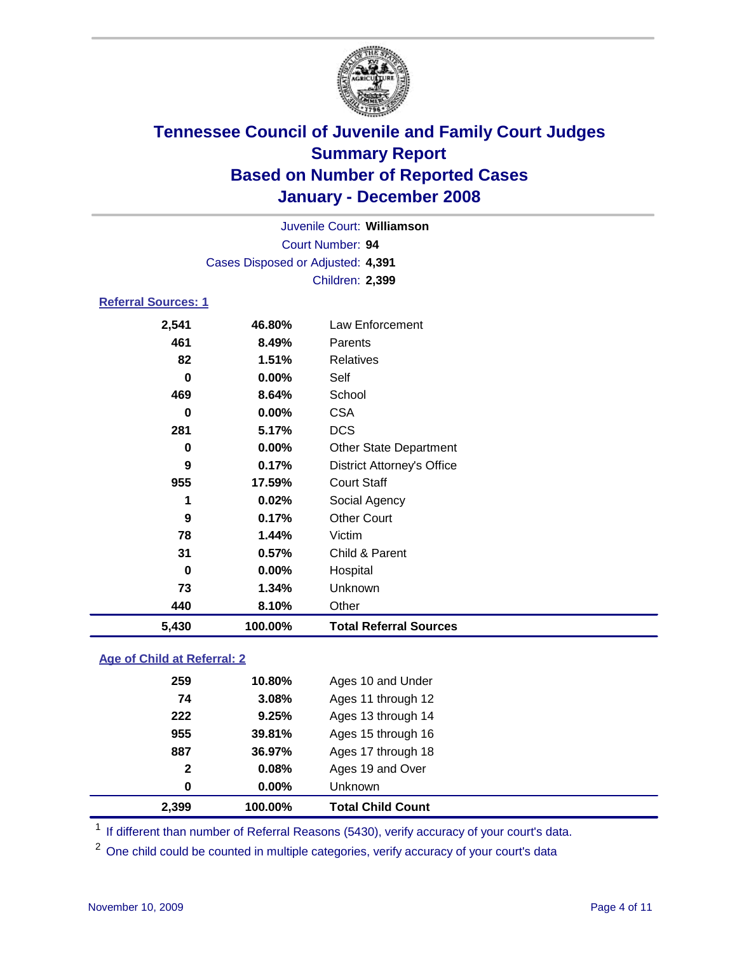

Court Number: **94** Juvenile Court: **Williamson** Cases Disposed or Adjusted: **4,391** Children: **2,399**

### **Referral Sources: 1**

| 5,430 | 100.00% | <b>Total Referral Sources</b>     |
|-------|---------|-----------------------------------|
| 440   | 8.10%   | Other                             |
| 73    | 1.34%   | Unknown                           |
| 0     | 0.00%   | Hospital                          |
| 31    | 0.57%   | Child & Parent                    |
| 78    | 1.44%   | Victim                            |
| 9     | 0.17%   | <b>Other Court</b>                |
| 1     | 0.02%   | Social Agency                     |
| 955   | 17.59%  | <b>Court Staff</b>                |
| 9     | 0.17%   | <b>District Attorney's Office</b> |
| 0     | 0.00%   | <b>Other State Department</b>     |
| 281   | 5.17%   | <b>DCS</b>                        |
| 0     | 0.00%   | <b>CSA</b>                        |
| 469   | 8.64%   | School                            |
| 0     | 0.00%   | Self                              |
| 82    | 1.51%   | Relatives                         |
| 461   | 8.49%   | Parents                           |
| 2,541 | 46.80%  | Law Enforcement                   |

#### **Age of Child at Referral: 2**

| 2,399        | 100.00%  | <b>Total Child Count</b> |
|--------------|----------|--------------------------|
| 0            | $0.00\%$ | Unknown                  |
| $\mathbf{2}$ | 0.08%    | Ages 19 and Over         |
| 887          | 36.97%   | Ages 17 through 18       |
| 955          | 39.81%   | Ages 15 through 16       |
| 222          | 9.25%    | Ages 13 through 14       |
| 74           | 3.08%    | Ages 11 through 12       |
| 259          | 10.80%   | Ages 10 and Under        |
|              |          |                          |

<sup>1</sup> If different than number of Referral Reasons (5430), verify accuracy of your court's data.

<sup>2</sup> One child could be counted in multiple categories, verify accuracy of your court's data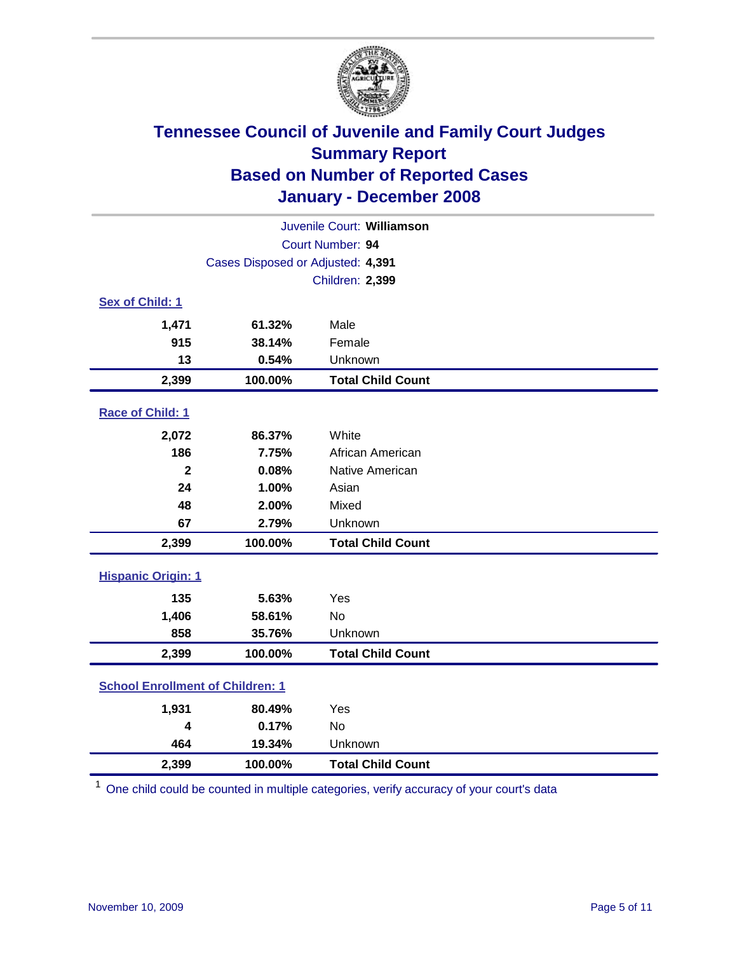

| Juvenile Court: Williamson              |                                   |                          |  |  |  |
|-----------------------------------------|-----------------------------------|--------------------------|--|--|--|
| Court Number: 94                        |                                   |                          |  |  |  |
|                                         | Cases Disposed or Adjusted: 4,391 |                          |  |  |  |
|                                         |                                   | Children: 2,399          |  |  |  |
| Sex of Child: 1                         |                                   |                          |  |  |  |
| 1,471                                   | 61.32%                            | Male                     |  |  |  |
| 915                                     | 38.14%                            | Female                   |  |  |  |
| 13                                      | 0.54%                             | Unknown                  |  |  |  |
| 2,399                                   | 100.00%                           | <b>Total Child Count</b> |  |  |  |
| Race of Child: 1                        |                                   |                          |  |  |  |
| 2,072                                   | 86.37%                            | White                    |  |  |  |
| 186                                     | 7.75%                             | African American         |  |  |  |
| $\overline{\mathbf{2}}$                 | 0.08%                             | Native American          |  |  |  |
| 24                                      | 1.00%                             | Asian                    |  |  |  |
| 48                                      | 2.00%                             | Mixed                    |  |  |  |
| 67                                      | 2.79%                             | Unknown                  |  |  |  |
| 2,399                                   | 100.00%                           | <b>Total Child Count</b> |  |  |  |
| <b>Hispanic Origin: 1</b>               |                                   |                          |  |  |  |
| 135                                     | 5.63%                             | Yes                      |  |  |  |
| 1,406                                   | 58.61%                            | No                       |  |  |  |
| 858                                     | 35.76%                            | Unknown                  |  |  |  |
| 2,399                                   | 100.00%                           | <b>Total Child Count</b> |  |  |  |
| <b>School Enrollment of Children: 1</b> |                                   |                          |  |  |  |
| 1,931                                   | 80.49%                            | Yes                      |  |  |  |
| 4                                       | 0.17%                             | No                       |  |  |  |
| 464                                     | 19.34%                            | Unknown                  |  |  |  |
| 2,399                                   | 100.00%                           | <b>Total Child Count</b> |  |  |  |

<sup>1</sup> One child could be counted in multiple categories, verify accuracy of your court's data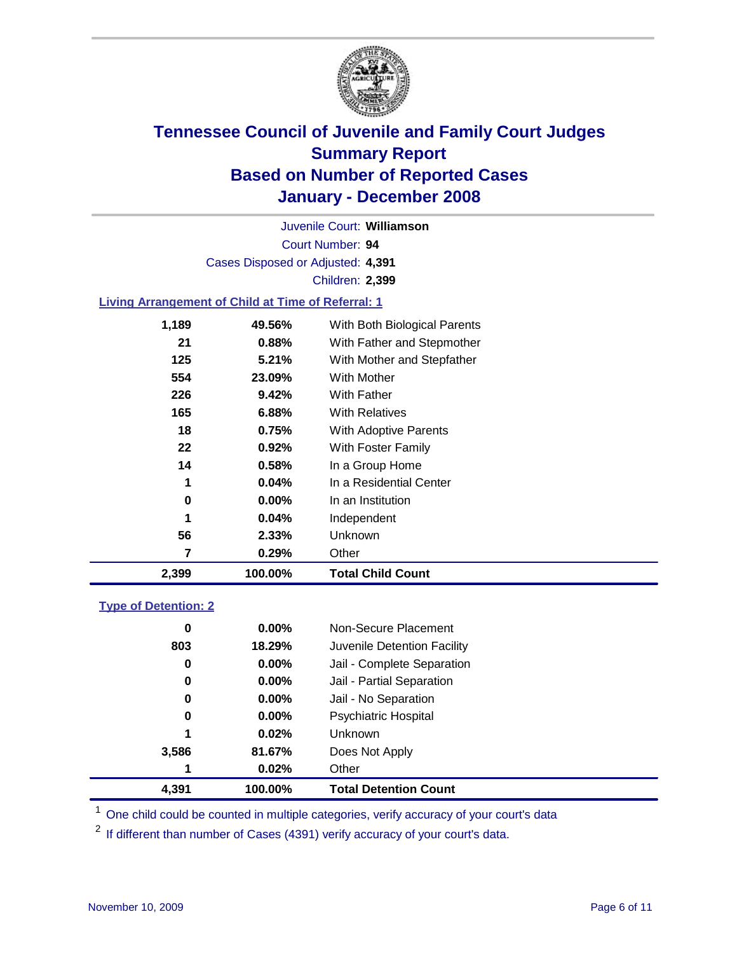

Court Number: **94** Juvenile Court: **Williamson** Cases Disposed or Adjusted: **4,391** Children: **2,399**

### **Living Arrangement of Child at Time of Referral: 1**

| 2,399 | 100.00%  | <b>Total Child Count</b>     |
|-------|----------|------------------------------|
| 7     | 0.29%    | Other                        |
| 56    | 2.33%    | Unknown                      |
| 1     | 0.04%    | Independent                  |
| 0     | $0.00\%$ | In an Institution            |
| 1     | 0.04%    | In a Residential Center      |
| 14    | 0.58%    | In a Group Home              |
| 22    | 0.92%    | With Foster Family           |
| 18    | 0.75%    | With Adoptive Parents        |
| 165   | 6.88%    | <b>With Relatives</b>        |
| 226   | 9.42%    | With Father                  |
| 554   | 23.09%   | With Mother                  |
| 125   | 5.21%    | With Mother and Stepfather   |
| 21    | 0.88%    | With Father and Stepmother   |
| 1,189 | 49.56%   | With Both Biological Parents |
|       |          |                              |

#### **Type of Detention: 2**

| 4.391 | 100.00%  | <b>Total Detention Count</b> |  |
|-------|----------|------------------------------|--|
| 1     | 0.02%    | Other                        |  |
| 3,586 | 81.67%   | Does Not Apply               |  |
| 1     | 0.02%    | <b>Unknown</b>               |  |
| 0     | 0.00%    | <b>Psychiatric Hospital</b>  |  |
| 0     | 0.00%    | Jail - No Separation         |  |
| 0     | $0.00\%$ | Jail - Partial Separation    |  |
| 0     | $0.00\%$ | Jail - Complete Separation   |  |
| 803   | 18.29%   | Juvenile Detention Facility  |  |
| 0     | $0.00\%$ | Non-Secure Placement         |  |
|       |          |                              |  |

<sup>1</sup> One child could be counted in multiple categories, verify accuracy of your court's data

<sup>2</sup> If different than number of Cases (4391) verify accuracy of your court's data.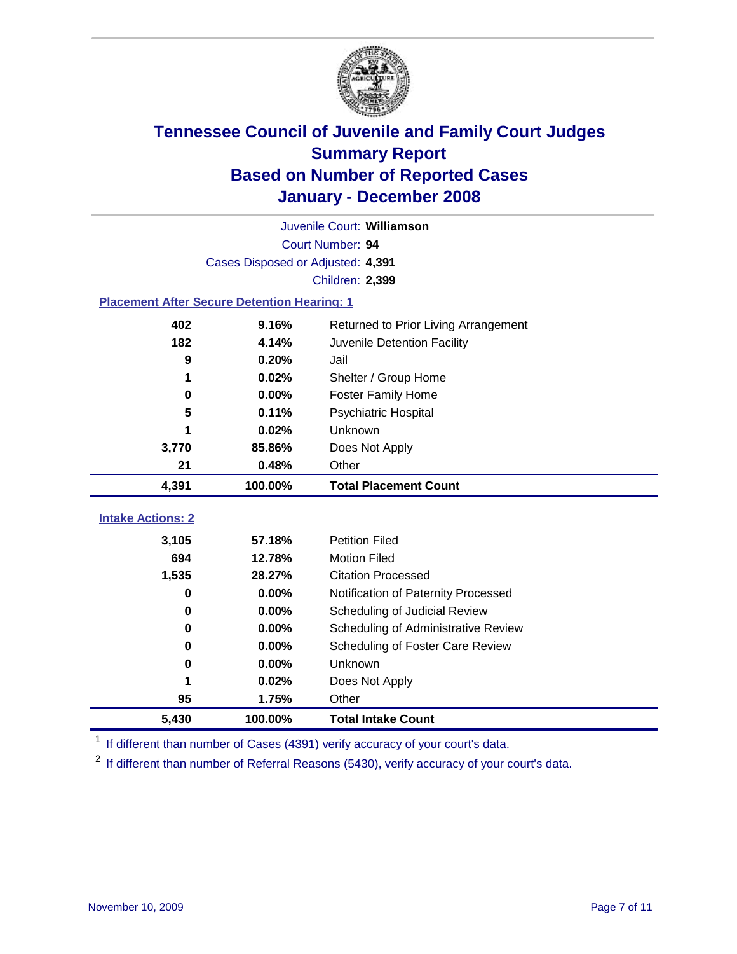

|                                                    | Juvenile Court: Williamson        |                                      |  |  |  |
|----------------------------------------------------|-----------------------------------|--------------------------------------|--|--|--|
|                                                    | Court Number: 94                  |                                      |  |  |  |
|                                                    | Cases Disposed or Adjusted: 4,391 |                                      |  |  |  |
|                                                    |                                   | Children: 2,399                      |  |  |  |
| <b>Placement After Secure Detention Hearing: 1</b> |                                   |                                      |  |  |  |
| 402                                                | 9.16%                             | Returned to Prior Living Arrangement |  |  |  |
| 182                                                | 4.14%                             | Juvenile Detention Facility          |  |  |  |
| 9                                                  | 0.20%                             | Jail                                 |  |  |  |
| 1                                                  | 0.02%                             | Shelter / Group Home                 |  |  |  |
| 0                                                  | 0.00%                             | <b>Foster Family Home</b>            |  |  |  |
| 5                                                  | 0.11%                             | Psychiatric Hospital                 |  |  |  |
|                                                    | 0.02%                             | Unknown                              |  |  |  |
| 3,770                                              | 85.86%                            | Does Not Apply                       |  |  |  |
| 21                                                 | 0.48%                             | Other                                |  |  |  |
| 4,391                                              | 100.00%                           | <b>Total Placement Count</b>         |  |  |  |
| <b>Intake Actions: 2</b>                           |                                   |                                      |  |  |  |
|                                                    |                                   |                                      |  |  |  |
| 3,105                                              | 57.18%                            | <b>Petition Filed</b>                |  |  |  |
| 694                                                | 12.78%                            | <b>Motion Filed</b>                  |  |  |  |
| 1,535                                              | 28.27%                            | <b>Citation Processed</b>            |  |  |  |
| 0                                                  | 0.00%                             | Notification of Paternity Processed  |  |  |  |
| 0                                                  | 0.00%                             | Scheduling of Judicial Review        |  |  |  |
| $\bf{0}$                                           | 0.00%                             | Scheduling of Administrative Review  |  |  |  |
| $\bf{0}$                                           | 0.00%                             | Scheduling of Foster Care Review     |  |  |  |
| $\bf{0}$                                           | 0.00%                             | Unknown                              |  |  |  |
| 1                                                  | 0.02%                             | Does Not Apply                       |  |  |  |
| 95                                                 | 1.75%                             | Other                                |  |  |  |
| 5,430                                              | 100.00%                           | <b>Total Intake Count</b>            |  |  |  |

<sup>1</sup> If different than number of Cases (4391) verify accuracy of your court's data.

<sup>2</sup> If different than number of Referral Reasons (5430), verify accuracy of your court's data.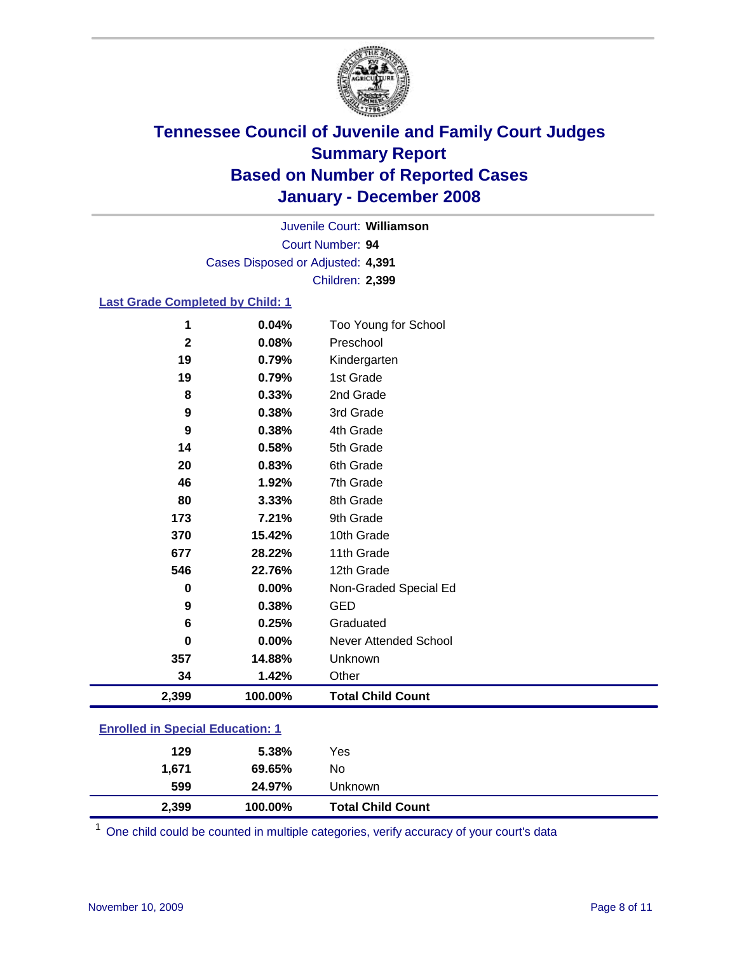

Court Number: **94** Juvenile Court: **Williamson** Cases Disposed or Adjusted: **4,391** Children: **2,399**

### **Last Grade Completed by Child: 1**

| 1               | 0.04%   | Too Young for School     |
|-----------------|---------|--------------------------|
| $\mathbf{2}$    | 0.08%   | Preschool                |
| 19              | 0.79%   | Kindergarten             |
| 19              | 0.79%   | 1st Grade                |
| 8               | 0.33%   | 2nd Grade                |
| 9               | 0.38%   | 3rd Grade                |
| 9               | 0.38%   | 4th Grade                |
| 14              | 0.58%   | 5th Grade                |
| 20              | 0.83%   | 6th Grade                |
| 46              | 1.92%   | 7th Grade                |
| 80              | 3.33%   | 8th Grade                |
| 173             | 7.21%   | 9th Grade                |
| 370             | 15.42%  | 10th Grade               |
| 677             | 28.22%  | 11th Grade               |
| 546             | 22.76%  | 12th Grade               |
| 0               | 0.00%   | Non-Graded Special Ed    |
| 9               | 0.38%   | <b>GED</b>               |
| $6\phantom{1}6$ | 0.25%   | Graduated                |
| $\bf{0}$        | 0.00%   | Never Attended School    |
| 357             | 14.88%  | Unknown                  |
| 34              | 1.42%   | Other                    |
| 2,399           | 100.00% | <b>Total Child Count</b> |

### **Enrolled in Special Education: 1**

<sup>1</sup> One child could be counted in multiple categories, verify accuracy of your court's data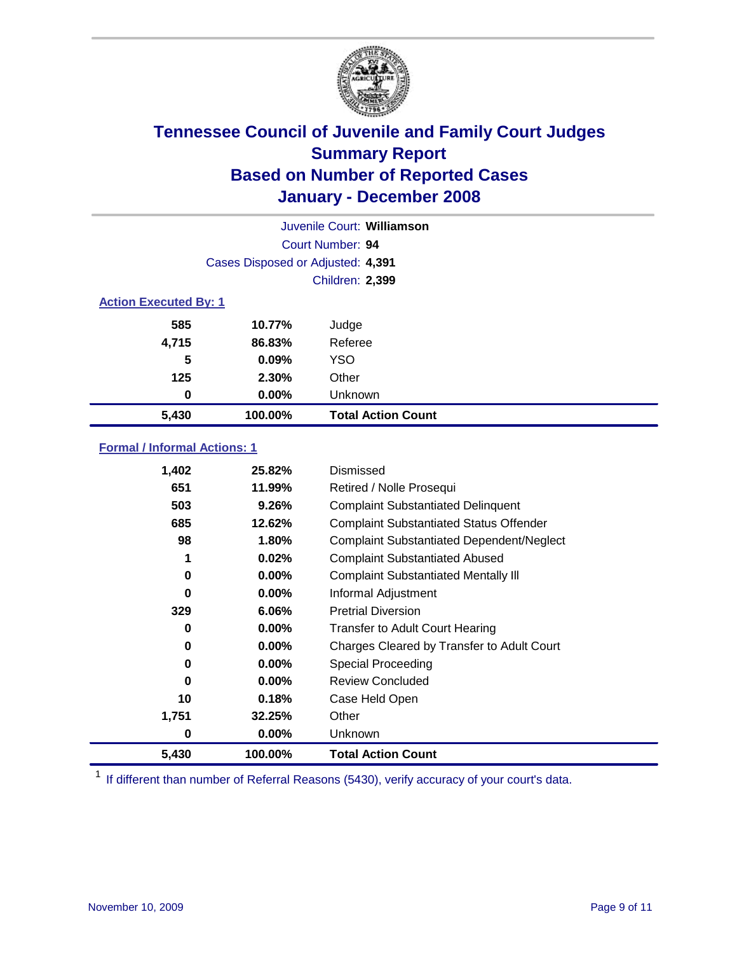

| Juvenile Court: Williamson   |                                   |                           |  |  |  |
|------------------------------|-----------------------------------|---------------------------|--|--|--|
|                              | Court Number: 94                  |                           |  |  |  |
|                              | Cases Disposed or Adjusted: 4,391 |                           |  |  |  |
|                              |                                   | <b>Children: 2,399</b>    |  |  |  |
| <b>Action Executed By: 1</b> |                                   |                           |  |  |  |
| 585                          | 10.77%                            | Judge                     |  |  |  |
| 4,715                        | 86.83%                            | Referee                   |  |  |  |
| 5                            | 0.09%                             | <b>YSO</b>                |  |  |  |
| 125                          | 2.30%                             | Other                     |  |  |  |
| 0                            | $0.00\%$                          | Unknown                   |  |  |  |
| 5,430                        | 100.00%                           | <b>Total Action Count</b> |  |  |  |

### **Formal / Informal Actions: 1**

| 1,402    | 25.82%   | Dismissed                                        |
|----------|----------|--------------------------------------------------|
| 651      | 11.99%   | Retired / Nolle Prosequi                         |
| 503      | 9.26%    | <b>Complaint Substantiated Delinquent</b>        |
| 685      | 12.62%   | <b>Complaint Substantiated Status Offender</b>   |
| 98       | 1.80%    | <b>Complaint Substantiated Dependent/Neglect</b> |
| 1        | 0.02%    | <b>Complaint Substantiated Abused</b>            |
| 0        | $0.00\%$ | <b>Complaint Substantiated Mentally III</b>      |
| $\bf{0}$ | $0.00\%$ | Informal Adjustment                              |
| 329      | 6.06%    | <b>Pretrial Diversion</b>                        |
| 0        | $0.00\%$ | <b>Transfer to Adult Court Hearing</b>           |
| 0        | $0.00\%$ | Charges Cleared by Transfer to Adult Court       |
| 0        | $0.00\%$ | Special Proceeding                               |
| 0        | $0.00\%$ | <b>Review Concluded</b>                          |
| 10       | 0.18%    | Case Held Open                                   |
| 1,751    | 32.25%   | Other                                            |
| 0        | $0.00\%$ | <b>Unknown</b>                                   |
| 5,430    | 100.00%  | <b>Total Action Count</b>                        |

<sup>1</sup> If different than number of Referral Reasons (5430), verify accuracy of your court's data.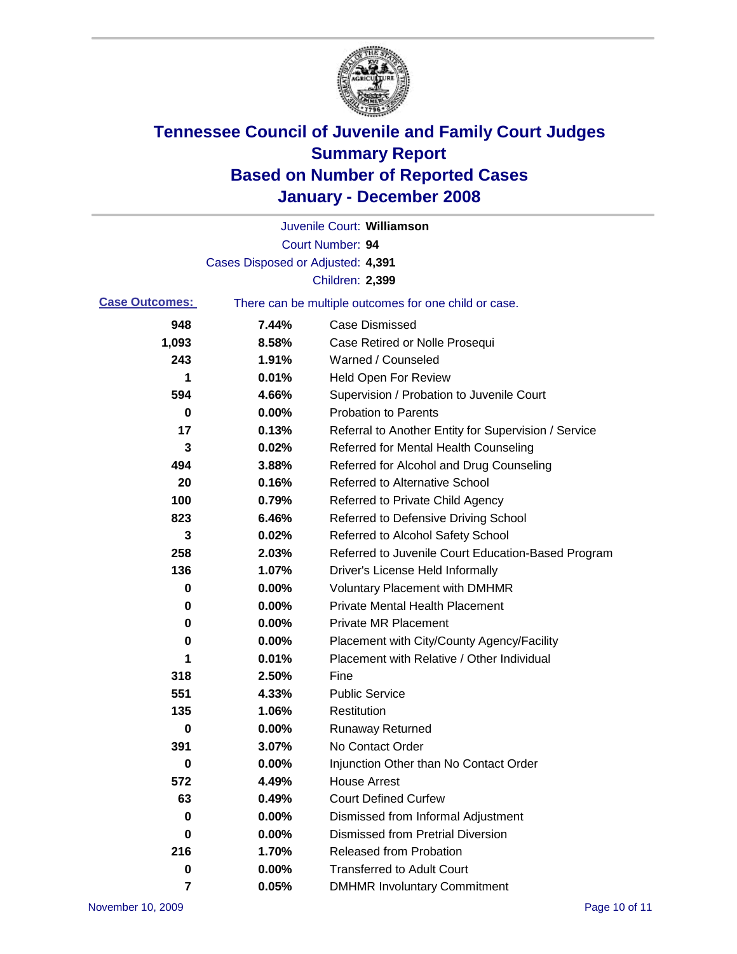

|                       |                                   | Juvenile Court: Williamson                            |
|-----------------------|-----------------------------------|-------------------------------------------------------|
|                       |                                   | Court Number: 94                                      |
|                       | Cases Disposed or Adjusted: 4,391 |                                                       |
|                       |                                   | Children: 2,399                                       |
| <b>Case Outcomes:</b> |                                   | There can be multiple outcomes for one child or case. |
| 948                   | 7.44%                             | <b>Case Dismissed</b>                                 |
| 1,093                 | 8.58%                             | Case Retired or Nolle Prosequi                        |
| 243                   | 1.91%                             | Warned / Counseled                                    |
| 1                     | 0.01%                             | <b>Held Open For Review</b>                           |
| 594                   | 4.66%                             | Supervision / Probation to Juvenile Court             |
| 0                     | 0.00%                             | <b>Probation to Parents</b>                           |
| 17                    | 0.13%                             | Referral to Another Entity for Supervision / Service  |
| 3                     | 0.02%                             | Referred for Mental Health Counseling                 |
| 494                   | 3.88%                             | Referred for Alcohol and Drug Counseling              |
| 20                    | 0.16%                             | <b>Referred to Alternative School</b>                 |
| 100                   | 0.79%                             | Referred to Private Child Agency                      |
| 823                   | 6.46%                             | Referred to Defensive Driving School                  |
| 3                     | 0.02%                             | Referred to Alcohol Safety School                     |
| 258                   | 2.03%                             | Referred to Juvenile Court Education-Based Program    |
| 136                   | 1.07%                             | Driver's License Held Informally                      |
| 0                     | 0.00%                             | <b>Voluntary Placement with DMHMR</b>                 |
| 0                     | 0.00%                             | <b>Private Mental Health Placement</b>                |
| 0                     | 0.00%                             | <b>Private MR Placement</b>                           |
| 0                     | 0.00%                             | Placement with City/County Agency/Facility            |
| 1                     | 0.01%                             | Placement with Relative / Other Individual            |
| 318                   | 2.50%                             | Fine                                                  |
| 551                   | 4.33%                             | <b>Public Service</b>                                 |
| 135                   | 1.06%                             | Restitution                                           |
| 0                     | 0.00%                             | <b>Runaway Returned</b>                               |
| 391                   | 3.07%                             | No Contact Order                                      |
| 0                     | $0.00\%$                          | Injunction Other than No Contact Order                |
| 572                   | 4.49%                             | <b>House Arrest</b>                                   |
| 63                    | 0.49%                             | <b>Court Defined Curfew</b>                           |
| 0                     | 0.00%                             | Dismissed from Informal Adjustment                    |
| 0                     | 0.00%                             | <b>Dismissed from Pretrial Diversion</b>              |
| 216                   | 1.70%                             | <b>Released from Probation</b>                        |
| 0                     | 0.00%                             | <b>Transferred to Adult Court</b>                     |
| 7                     | 0.05%                             | <b>DMHMR Involuntary Commitment</b>                   |